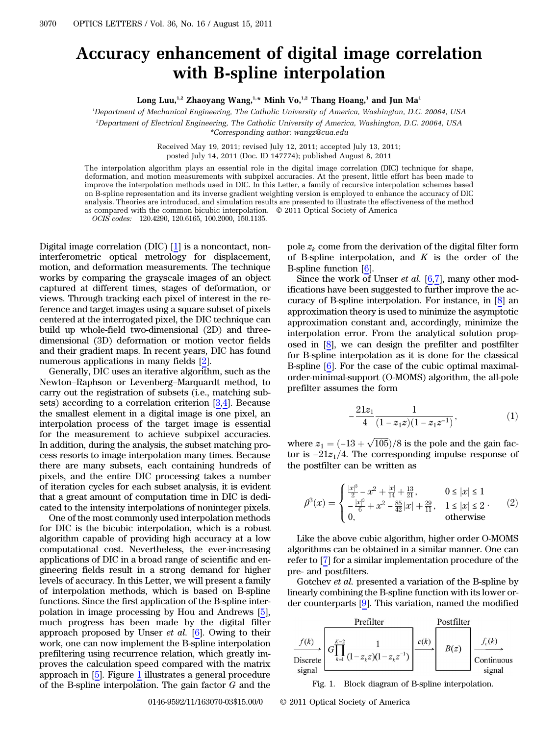## Accuracy enhancement of digital image correlation with B-spline interpolation

Long Luu,<sup>1,2</sup> Zhaoyang Wang,<sup>1,\*</sup> Minh Vo,<sup>1,2</sup> Thang Hoang,<sup>1</sup> and Jun Ma<sup>1</sup>

1 Department of Mechanical Engineering, The Catholic University of America, Washington, D.C. 20064, USA

2 Department of Electrical Engineering, The Catholic University of America, Washington, D.C. 20064, USA

\*Corresponding author: wangz@cua.edu

Received May 19, 2011; revised July 12, 2011; accepted July 13, 2011; posted July 14, 2011 (Doc. ID 147774); published August 8, 2011

The interpolation algorithm plays an essential role in the digital image correlation (DIC) technique for shape, deformation, and motion measurements with subpixel accuracies. At the present, little effort has been made to improve the interpolation methods used in DIC. In this Letter, a family of recursive interpolation schemes based on B-spline representation and its inverse gradient weighting version is employed to enhance the accuracy of DIC analysis. Theories are introduced, and simulation results are presented to illustrate the effectiveness of the method as compared with the common bicubic interpolation. © 2011 Optical Society of America

 $OCIS\ codes: 120.4290, 120.6165, 100.2000, 150.1135.$ 

Digital image correlation (DIC) [1] is a noncontact, noninterferometric optical metrology for displacement, motion, and deformation measurements. The technique works by comparing the grayscale images of an object captured at different times, stages of deformation, or views. Through tracking each pixel of interest in the reference and target images using a square subset of pixels centered at the interrogated pixel, the DIC technique can build up whole-field two-dimensional (2D) and threedimensional (3D) deformation or motion vector fields and their gradient maps. In recent years, DIC has found<br>numerous applications in many fields [2].<br>Generally, DIC uses an iterative algorithm, such as the<br>Newton–Raphson or Levenberg–Marquardt method, to numerous applications in many fields [2].

Generally, DIC uses an iterative algorithm, such as the carry out the registration of subsets (i.e., matching subsets) according to a correlation criterion [3,4]. Because the smallest element in a digital image is one pixel, an interpolation process of the target image is essential for the measurement to achieve subpixel accuracies. In addition, during the analysis, the subset matching process resorts to image interpolation many times. Because there are many subsets, each containing hundreds of pixels, and the entire DIC processing takes a number of iteration cycles for each subset analysis, it is evident that a great amount of computation time in DIC is dedicated to the intensity interpolations of noninteger pixels.

One of the most commonly used interpolation methods for DIC is the bicubic interpolation, which is a robust algorithm capable of providing high accuracy at a low computational cost. Nevertheless, the ever-increasing applications of DIC in a broad range of scientific and engineering fields result in a strong demand for higher levels of accuracy. In this Letter, we will present a family of interpolation methods, which is based on B-spline functions. Since the first application of the B-spline interpolation in image processing by Hou and Andrews [5], much progress has been made by the digital filter approach proposed by Unser et al. [6]. Owing to their work, one can now implement the B-spline interpolation prefiltering using recurrence relation, which greatly improves the calculation speed compared with the matrix approach in [5]. Figure 1 illustrates a general procedure of the B-spline interpolation. The gain factor G and the pole  $z_k$  come from the derivation of the digital filter form of B-spline interpolation, and  $K$  is the order of the B-spline function [6].

Since the work of Unser *et al.* [6,7], many other modifications have been suggested to further improve the accuracy of B-spline interpolation. For instance, in [8] an approximation theory is used to minimize the asymptotic approximation constant and, accordingly, minimize the interpolation error. From the analytical solution proposed in [8], we can design the prefilter and postfilter for B-spline interpolation as it is done for the classical B-spline [6]. For the case of the cubic optimal maximalorder-minimal-support (O-MOMS) algorithm, the all-pole prefilter assumes the form

$$
-\frac{21z_1}{4}\frac{1}{(1-z_1z)(1-z_1z^{-1})}, \qquad \qquad (1)
$$

where  $z_1 = (-13 + \sqrt{105})/8$  is the pole and the gain factor is  $-21z_1/4$ . The corresponding impulse response of the postfilter can be written as

$$
\beta^{3}(x) = \begin{cases} \frac{|x|^{3}}{2} - x^{2} + \frac{|x|}{14} + \frac{13}{21}, & 0 \le |x| \le 1\\ -\frac{|x|^{3}}{6} + x^{2} - \frac{85}{42}|x| + \frac{29}{11}, & 1 \le |x| \le 2\\ 0, & \text{otherwise} \end{cases}
$$
 (2)

Like the above cubic algorithm, higher order O-MOMS algorithms can be obtained in a similar manner. One can refer to [7] for a similar implementation procedure of the pre- and postfilters.

Gotchev et al. presented a variation of the B-spline by linearly combining the B-spline function with its lower order counterparts [9]. This variation, named the modified



Fig. 1. Block diagram of B-spline interpolation.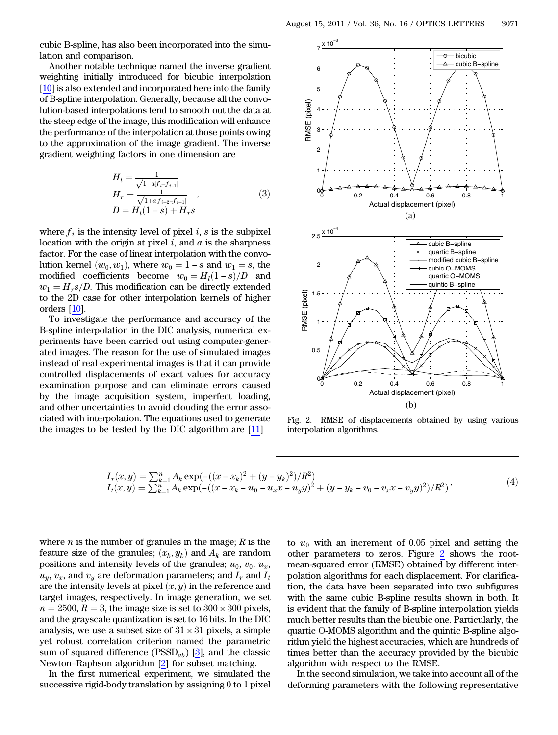cubic B-spline, has also been incorporated into the simulation and comparison.

Another notable technique named the inverse gradient weighting initially introduced for bicubic interpolation [10] is also extended and incorporated here into the family of B-spline interpolation. Generally, because all the convolution-based interpolations tend to smooth out the data at the steep edge of the image, this modification will enhance the performance of the interpolation at those points owing to the approximation of the image gradient. The inverse gradient weighting factors in one dimension are

$$
H_{l} = \frac{1}{\sqrt{1 + a|f_{i} - f_{i-1}|}}
$$
  
\n
$$
H_{r} = \frac{1}{\sqrt{1 + a|f_{i+2} - f_{i+1}|}}
$$
  
\n
$$
D = H_{l}(1 - s) + H_{r}s
$$
\n(3)

where  $f_i$  is the intensity level of pixel i, s is the subpixel location with the origin at pixel  $i$ , and  $\alpha$  is the sharpness factor. For the case of linear interpolation with the convolution kernel  $(w_0, w_1)$ , where  $w_0 = 1 - s$  and  $w_1 = s$ , the modified coefficients become  $w_0 = H_1(1 - s)/D$  and  $w_1 = H_r s/D$ . This modification can be directly extended to the 2D case for other interpolation kernels of higher orders [10].

To investigate the performance and accuracy of the B-spline interpolation in the DIC analysis, numerical experiments have been carried out using computer-generated images. The reason for the use of simulated images instead of real experimental images is that it can provide controlled displacements of exact values for accuracy examination purpose and can eliminate errors caused by the image acquisition system, imperfect loading, and other uncertainties to avoid clouding the error associated with interpolation. The equations used to generate the images to be tested by the DIC algorithm are [11]



Fig. 2. RMSE of displacements obtained by using various interpolation algorithms.

$$
I_r(x,y) = \sum_{k=1}^n A_k \exp(-( (x - x_k)^2 + (y - y_k)^2)/R^2)
$$
  
\n
$$
I_t(x,y) = \sum_{k=1}^n A_k \exp(-( (x - x_k - u_0 - u_x x - u_y y)^2 + (y - y_k - v_0 - v_x x - v_y y)^2)/R^2)
$$
\n(4)

where  $n$  is the number of granules in the image;  $R$  is the feature size of the granules;  $(x_k, y_k)$  and  $A_k$  are random positions and intensity levels of the granules;  $u_0$ ,  $v_0$ ,  $u_x$ ,  $u_y, v_x$ , and  $v_y$  are deformation parameters; and  $I_x$  and  $I_t$ are the intensity levels at pixel  $(x, y)$  in the reference and target images, respectively. In image generation, we set  $n = 2500, R = 3$ , the image size is set to  $300 \times 300$  pixels, and the grayscale quantization is set to 16 bits. In the DIC analysis, we use a subset size of  $31 \times 31$  pixels, a simple yet robust correlation criterion named the parametric sum of squared difference ( $\mathrm{PSSD}_{ab}$ ) [3], and the classic analysis, we use a subset size of  $31 \times 31$  pixels, a sim<br>yet robust correlation criterion named the parame<br>sum of squared difference (PSSD<sub>ab</sub>) [3], and the clas<br>Newton–Raphson algorithm [2] for subset matching.

In the first numerical experiment, we simulated the successive rigid-body translation by assigning 0 to 1 pixel

to  $u_0$  with an increment of 0.05 pixel and setting the other parameters to zeros. Figure 2 shows the rootmean-squared error (RMSE) obtained by different interpolation algorithms for each displacement. For clarification, the data have been separated into two subfigures with the same cubic B-spline results shown in both. It is evident that the family of B-spline interpolation yields much better results than the bicubic one. Particularly, the quartic O-MOMS algorithm and the quintic B-spline algorithm yield the highest accuracies, which are hundreds of times better than the accuracy provided by the bicubic algorithm with respect to the RMSE.

In the second simulation, we take into account all of the deforming parameters with the following representative